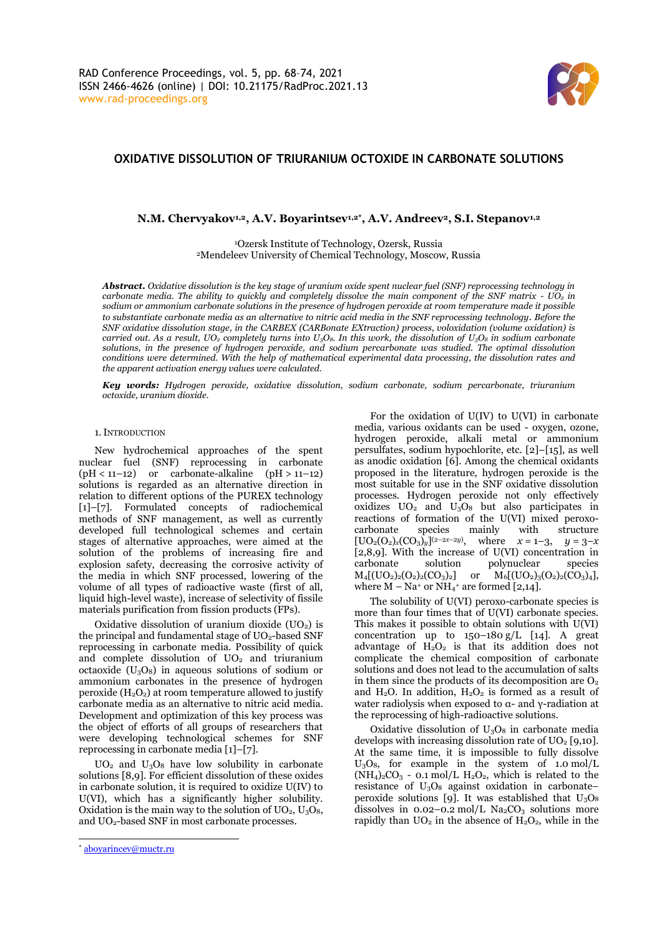

# **OXIDATIVE DISSOLUTION OF TRIURANIUM OCTOXIDE IN CARBONATE SOLUTIONS**

**N.M. Chervyakov1,2, A.V. Boyarintsev1,2\* , A.V. Andreev2, S.I. Stepanov1,2**

<sup>1</sup>Ozersk Institute of Technology, Ozersk, Russia <sup>2</sup>Mendeleev University of Chemical Technology, Moscow, Russia

*Abstract. Oxidative dissolution is the key stage of uranium oxide spent nuclear fuel (SNF) reprocessing technology in carbonate media. The ability to quickly and completely dissolve the main component of the SNF matrix - UO<sup>2</sup> in sodium or ammonium carbonate solutions in the presence of hydrogen peroxide at room temperature made it possible to substantiate carbonate media as an alternative to nitric acid media in the SNF reprocessing technology. Before the SNF oxidative dissolution stage, in the CARBEX (CARBonate EXtraction) process, voloxidation (volume oxidation) is carried out. As a result, UO<sup>2</sup> completely turns into U3O8. In this work, the dissolution of U3O<sup>8</sup> in sodium carbonate solutions, in the presence of hydrogen peroxide, and sodium percarbonate was studied. The optimal dissolution conditions were determined. With the help of mathematical experimental data processing, the dissolution rates and the apparent activation energy values were calculated.*

*Key words: Hydrogen peroxide, oxidative dissolution, sodium carbonate, sodium percarbonate, triuranium octoxide, uranium dioxide.*

### 1.INTRODUCTION

New hydrochemical approaches of the spent nuclear fuel (SNF) reprocessing in carbonate  $(pH < 11-12)$  or carbonate-alkaline  $(pH > 11-12)$ solutions is regarded as an alternative direction in relation to different options of the PUREX technology [1]–[7]. Formulated concepts of radiochemical methods of SNF management, as well as currently developed full technological schemes and certain stages of alternative approaches, were aimed at the solution of the problems of increasing fire and explosion safety, decreasing the corrosive activity of the media in which SNF processed, lowering of the volume of all types of radioactive waste (first of all, liquid high-level waste), increase of selectivity of fissile materials purification from fission products (FPs).

Oxidative dissolution of uranium dioxide  $(UO<sub>2</sub>)$  is the principal and fundamental stage of  $UO<sub>2</sub>$ -based SNF reprocessing in carbonate media. Possibility of quick and complete dissolution of UO<sub>2</sub> and triuranium octaoxide  $(U_3O_8)$  in aqueous solutions of sodium or ammonium carbonates in the presence of hydrogen peroxide  $(H_2O_2)$  at room temperature allowed to justify carbonate media as an alternative to nitric acid media. Development and optimization of this key process was the object of efforts of all groups of researchers that were developing technological schemes for SNF reprocessing in carbonate media [1]–[7].

 $UO<sub>2</sub>$  and  $U<sub>3</sub>O<sub>8</sub>$  have low solubility in carbonate solutions [8,9]. For efficient dissolution of these oxides in carbonate solution, it is required to oxidize U(IV) to U(VI), which has a significantly higher solubility. Oxidation is the main way to the solution of  $UO_2$ ,  $U_3O_8$ , and UO2-based SNF in most carbonate processes.

For the oxidation of U(IV) to U(VI) in carbonate media, various oxidants can be used - oxygen, ozone, hydrogen peroxide, alkali metal or ammonium persulfates, sodium hypochlorite, etc. [2]–[15], as well as anodic oxidation [6]. Among the chemical oxidants proposed in the literature, hydrogen peroxide is the most suitable for use in the SNF oxidative dissolution processes. Hydrogen peroxide not only effectively oxidizes  $UO<sub>2</sub>$  and  $U<sub>3</sub>O<sub>8</sub>$  but also participates in reactions of formation of the U(VI) mixed peroxocarbonate species mainly with structure  $[UO_2(O_2)_x(CO_3)_y]^{(2-2x-2y)}$ , where  $x = 1-3$ ,  $y = 3-x$ [2,8,9]. With the increase of U(VI) concentration in carbonate solution polynuclear species  $M_4[(UO_2)_2(O_2)_2(CO_3)_2]$  or  $M_6[(UO_2)_3(O_2)_2(CO_3)_4]$ , where  $M - Na^+$  or  $NH_4$ <sup>+</sup> are formed [2,14].

The solubility of U(VI) peroxo-carbonate species is more than four times that of U(VI) carbonate species. This makes it possible to obtain solutions with U(VI) concentration up to  $150-180 \text{ g/L}$  [14]. A great advantage of  $H_2O_2$  is that its addition does not complicate the chemical composition of carbonate solutions and does not lead to the accumulation of salts in them since the products of its decomposition are  $O<sub>2</sub>$ and  $H_2O$ . In addition,  $H_2O_2$  is formed as a result of water radiolysis when exposed to  $α$ - and γ-radiation at the reprocessing of high-radioactive solutions.

Oxidative dissolution of  $U_3O_8$  in carbonate media develops with increasing dissolution rate of  $UO<sub>2</sub>$  [9,10]. At the same time, it is impossible to fully dissolve  $U_3O_8$ , for example in the system of 1.0 mol/L  $(NH<sub>4</sub>)<sub>2</sub>CO<sub>3</sub> - 0.1$  mol/L  $H<sub>2</sub>O<sub>2</sub>$ , which is related to the resistance of  $U_3O_8$  against oxidation in carbonateperoxide solutions [9]. It was established that  $U_3O_8$ dissolves in  $0.02 - 0.2$  mol/L Na<sub>2</sub>CO<sub>3</sub> solutions more rapidly than  $UO<sub>2</sub>$  in the absence of  $H<sub>2</sub>O<sub>2</sub>$ , while in the

<sup>\*</sup> [aboyarincev@muctr.ru](mailto:aboyarincev@muctr.ru)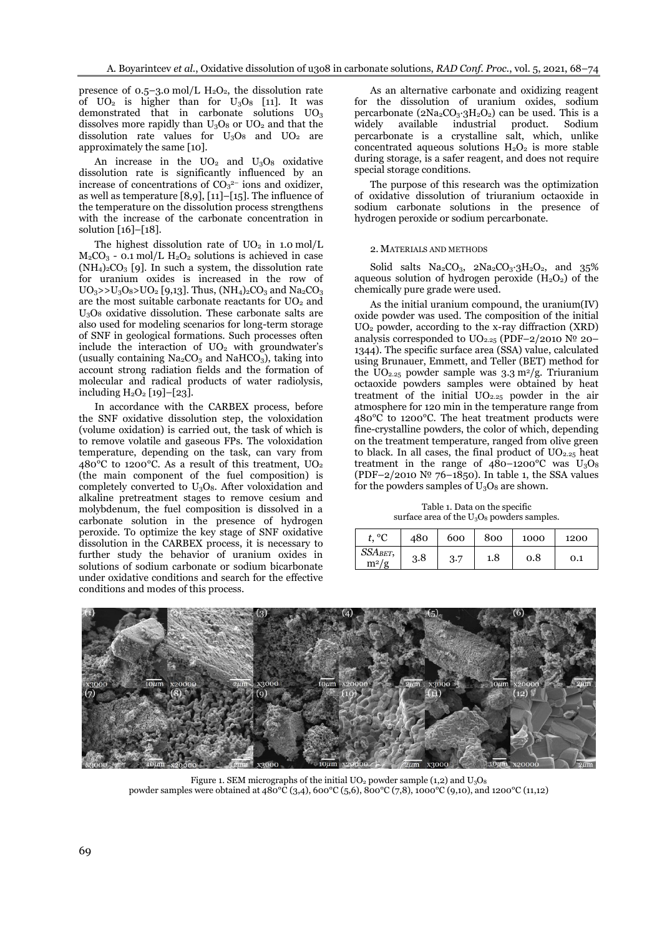presence of  $0.5-3.0 \text{ mol/L H}_2\text{O}_2$ , the dissolution rate of  $UO<sub>2</sub>$  is higher than for  $U<sub>3</sub>O<sub>8</sub>$  [11]. It was demonstrated that in carbonate solutions  $UO<sub>3</sub>$ dissolves more rapidly than  $U_3O_8$  or  $UO_2$  and that the dissolution rate values for  $U_3O_8$  and  $UO_2$  are approximately the same [10].

An increase in the  $UO_2$  and  $U_3O_8$  oxidative dissolution rate is significantly influenced by an increase of concentrations of  $CO<sub>3</sub><sup>2</sup>$  ions and oxidizer, as well as temperature [8,9], [11]–[15]. The influence of the temperature on the dissolution process strengthens with the increase of the carbonate concentration in solution [16]–[18].

The highest dissolution rate of  $UO<sub>2</sub>$  in 1.0 mol/L  $M_2CO_3$  - 0.1 mol/L  $H_2O_2$  solutions is achieved in case  $(NH_4)_2CO_3$  [9]. In such a system, the dissolution rate for uranium oxides is increased in the row of  $UO_3$ >> $U_3O_8$ > $UO_2$  [9,13]. Thus,  $(NH_4)_2CO_3$  and  $Na_2CO_3$ are the most suitable carbonate reactants for  $UO<sub>2</sub>$  and U3O<sup>8</sup> oxidative dissolution. These carbonate salts are also used for modeling scenarios for long-term storage of SNF in geological formations. Such processes often include the interaction of  $UO<sub>2</sub>$  with groundwater's (usually containing  $Na<sub>2</sub>CO<sub>3</sub>$  and  $NaHCO<sub>3</sub>$ ), taking into account strong radiation fields and the formation of molecular and radical products of water radiolysis, including  $H_2O_2$  [19]–[23].

In accordance with the CARBEX process, before the SNF oxidative dissolution step, the voloxidation (volume oxidation) is carried out, the task of which is to remove volatile and gaseous FPs. The voloxidation temperature, depending on the task, can vary from 480 $^{\circ}$ C to 1200 $^{\circ}$ C. As a result of this treatment, UO<sub>2</sub> (the main component of the fuel composition) is completely converted to  $U_3O_8$ . After voloxidation and alkaline pretreatment stages to remove cesium and molybdenum, the fuel composition is dissolved in a carbonate solution in the presence of hydrogen peroxide. To optimize the key stage of SNF oxidative dissolution in the CARBEX process, it is necessary to further study the behavior of uranium oxides in solutions of sodium carbonate or sodium bicarbonate under oxidative conditions and search for the effective conditions and modes of this process.

As an alternative carbonate and oxidizing reagent for the dissolution of uranium oxides, sodium percarbonate ( $2Na_2CO_3·3H_2O_2$ ) can be used. This is a widely available industrial product. Sodium percarbonate is a crystalline salt, which, unlike concentrated aqueous solutions  $H_2O_2$  is more stable during storage, is a safer reagent, and does not require special storage conditions.

The purpose of this research was the optimization of oxidative dissolution of triuranium octaoxide in sodium carbonate solutions in the presence of hydrogen peroxide or sodium percarbonate.

## 2. MATERIALS AND METHODS

Solid salts  $Na_2CO_3$ ,  $2Na_2CO_3$ ;  $3H_2O_2$ , and  $35\%$ aqueous solution of hydrogen peroxide  $(H_2O_2)$  of the chemically pure grade were used.

As the initial uranium compound, the uranium(IV) oxide powder was used. The composition of the initial  $UO<sub>2</sub>$  powder, according to the x-ray diffraction (XRD) analysis corresponded to  $UO_{2.25}$  (PDF–2/2010  $N^{\circ}$  20– 1344). The specific surface area (SSA) value, calculated using Brunauer, Emmett, and Teller (BET) method for the  $UO_{2.25}$  powder sample was 3.3 m<sup>2</sup>/g. Triuranium octaoxide powders samples were obtained by heat treatment of the initial  $UO_{2.25}$  powder in the air atmosphere for 120 min in the temperature range from 480°C to 1200°C. The heat treatment products were fine-crystalline powders, the color of which, depending on the treatment temperature, ranged from olive green to black. In all cases, the final product of  $UO_{2,25}$  heat treatment in the range of  $480-1200^{\circ}$ C was  $U_3O_8$ (PDF–2/2010 № 76–1850). In table 1, the SSA values for the powders samples of  $U_3O_8$  are shown.

Table 1. Data on the specific surface area of the  $U_3O_8$  powders samples.

| $^{\circ}$         | 480 | 600 | 800 | 1000 | 1200 |
|--------------------|-----|-----|-----|------|------|
| SSABET,<br>$m^2/g$ | 3.8 | 3.7 | 1.8 | 0.8  | 0.1  |



Figure 1. SEM micrographs of the initial  $UO_2$  powder sample (1,2) and  $U_3O_8$ powder samples were obtained at 480°C (3,4), 600°C (5,6), 800°C (7,8), 1000°C (9,10), and 1200°C (11,12)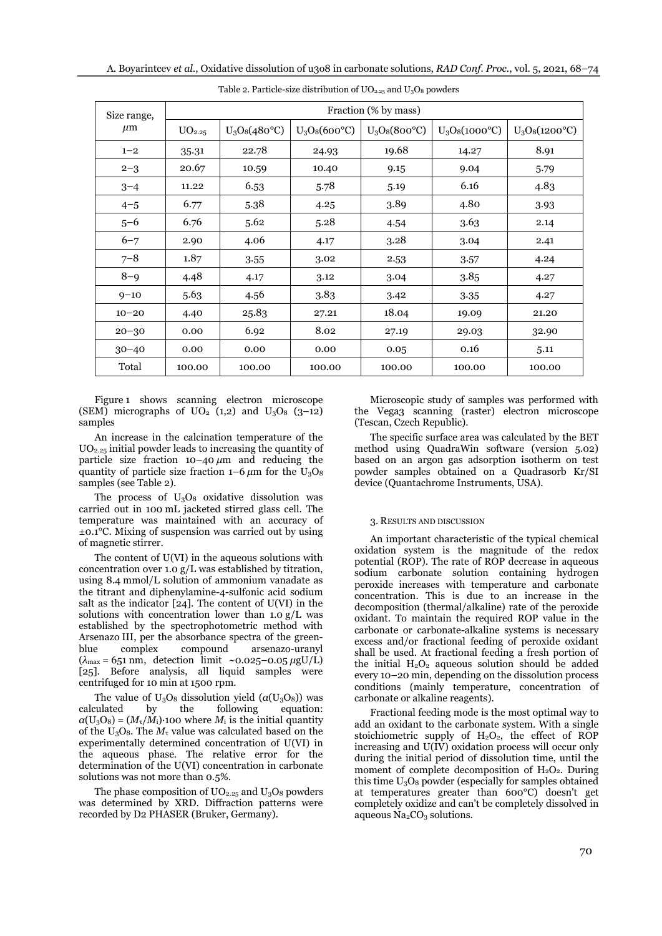| Size range, | Fraction (% by mass) |                        |                        |                        |                         |                         |  |  |
|-------------|----------------------|------------------------|------------------------|------------------------|-------------------------|-------------------------|--|--|
| $\mu$ m     | UO <sub>2.25</sub>   | $U_3O_8(480^{\circ}C)$ | $U_3O_8(600^{\circ}C)$ | $U_3O_8(800^{\circ}C)$ | $U_3O_8(1000^{\circ}C)$ | $U_3O_8(1200^{\circ}C)$ |  |  |
| $1 - 2$     | 35.31                | 22.78                  | 24.93                  | 19.68                  | 14.27                   | 8.91                    |  |  |
| $2 - 3$     | 20.67                | 10.59                  | 10.40                  | 9.15                   | 9.04                    | 5.79                    |  |  |
| $3 - 4$     | 11.22                | 6.53                   | 5.78                   | 5.19                   | 6.16                    | 4.83                    |  |  |
| $4 - 5$     | 6.77                 | 5.38                   | 4.25                   | 3.89                   | 4.80                    | 3.93                    |  |  |
| $5 - 6$     | 6.76                 | 5.62                   | 5.28                   | 4.54                   | 3.63                    | 2.14                    |  |  |
| $6 - 7$     | 2.90                 | 4.06                   | 4.17                   | 3.28                   | 3.04                    | 2.41                    |  |  |
| $7 - 8$     | 1.87                 | 3.55                   | 3.02                   | 2.53                   | 3.57                    | 4.24                    |  |  |
| $8 - 9$     | 4.48                 | 4.17                   | 3.12                   | 3.04                   | 3.85                    | 4.27                    |  |  |
| $9 - 10$    | 5.63                 | 4.56                   | 3.83                   | 3.42                   | 3.35                    | 4.27                    |  |  |
| $10 - 20$   | 4.40                 | 25.83                  | 27.21                  | 18.04                  | 19.09                   | 21.20                   |  |  |
| $20 - 30$   | 0.00                 | 6.92                   | 8.02                   | 27.19                  | 29.03                   | 32.90                   |  |  |
| $30 - 40$   | 0.00                 | 0.00                   | 0.00                   | 0.05                   | 0.16                    | 5.11                    |  |  |
| Total       | 100.00               | 100.00                 | 100.00                 | 100.00                 | 100.00                  | 100.00                  |  |  |

Table 2. Particle-size distribution of  $UO_{2.25}$  and  $U_3O_8$  powders

Figure 1 shows scanning electron microscope (SEM) micrographs of  $UO<sub>2</sub>$  (1,2) and  $U<sub>3</sub>O<sub>8</sub>$  (3-12) samples

An increase in the calcination temperature of the UO2.25 initial powder leads to increasing the quantity of particle size fraction 10–40 *μ*m and reducing the quantity of particle size fraction  $1-6 \mu m$  for the U<sub>3</sub>O<sub>8</sub> samples (see Table 2).

The process of  $U_3O_8$  oxidative dissolution was carried out in 100 mL jacketed stirred glass cell. The temperature was maintained with an accuracy of ±0.1°C. Mixing of suspension was carried out by using of magnetic stirrer.

The content of U(VI) in the aqueous solutions with concentration over 1.0 g/L was established by titration, using 8.4 mmol/L solution of ammonium vanadate as the titrant and diphenylamine-4-sulfonic acid sodium salt as the indicator [24]. The content of U(VI) in the solutions with concentration lower than  $1.0 \text{ g/L}$  was established by the spectrophotometric method with Arsenazo III, per the absorbance spectra of the greenblue complex compound arsenazo-uranyl (*λ*max = 651 nm, detection limit ~0.025–0.05 *μ*gU/L) [25]. Before analysis, all liquid samples were centrifuged for 10 min at 1500 rpm.

The value of  $U_3O_8$  dissolution yield  $(\alpha(U_3O_8))$  was calculated by the following equation:  $a(U_3O_8) = (M_7/M_1)$ ∙100 where  $M_1$  is the initial quantity of the  $U_3O_8$ . The  $M_\tau$  value was calculated based on the experimentally determined concentration of U(VI) in the aqueous phase. The relative error for the determination of the U(VI) concentration in carbonate solutions was not more than 0.5%.

The phase composition of  $UO<sub>2.25</sub>$  and  $U<sub>3</sub>O<sub>8</sub>$  powders was determined by XRD. Diffraction patterns were recorded by D2 PHASER (Bruker, Germany).

Microscopic study of samples was performed with the Vega3 scanning (raster) electron microscope (Tescan, Czech Republic).

The specific surface area was calculated by the BET method using QuadraWin software (version 5.02) based on an argon gas adsorption isotherm on test powder samples obtained on a Quadrasorb Kr/SI device (Quantachrome Instruments, USA).

#### 3. RESULTS AND DISCUSSION

An important characteristic of the typical chemical oxidation system is the magnitude of the redox potential (ROP). The rate of ROP decrease in aqueous sodium carbonate solution containing hydrogen peroxide increases with temperature and carbonate concentration. This is due to an increase in the decomposition (thermal/alkaline) rate of the peroxide oxidant. To maintain the required ROP value in the carbonate or carbonate-alkaline systems is necessary excess and/or fractional feeding of peroxide oxidant shall be used. At fractional feeding a fresh portion of the initial  $H_2O_2$  aqueous solution should be added every 10–20 min, depending on the dissolution process conditions (mainly temperature, concentration of carbonate or alkaline reagents).

Fractional feeding mode is the most optimal way to add an oxidant to the carbonate system. With a single stoichiometric supply of  $H_2O_2$ , the effect of ROP increasing and U(IV) oxidation process will occur only during the initial period of dissolution time, until the moment of complete decomposition of  $H_2O_2$ . During this time U3O<sup>8</sup> powder (especially for samples obtained at temperatures greater than 600°C) doesn't get completely oxidize and can't be completely dissolved in aqueous  $Na<sub>2</sub>CO<sub>3</sub>$  solutions.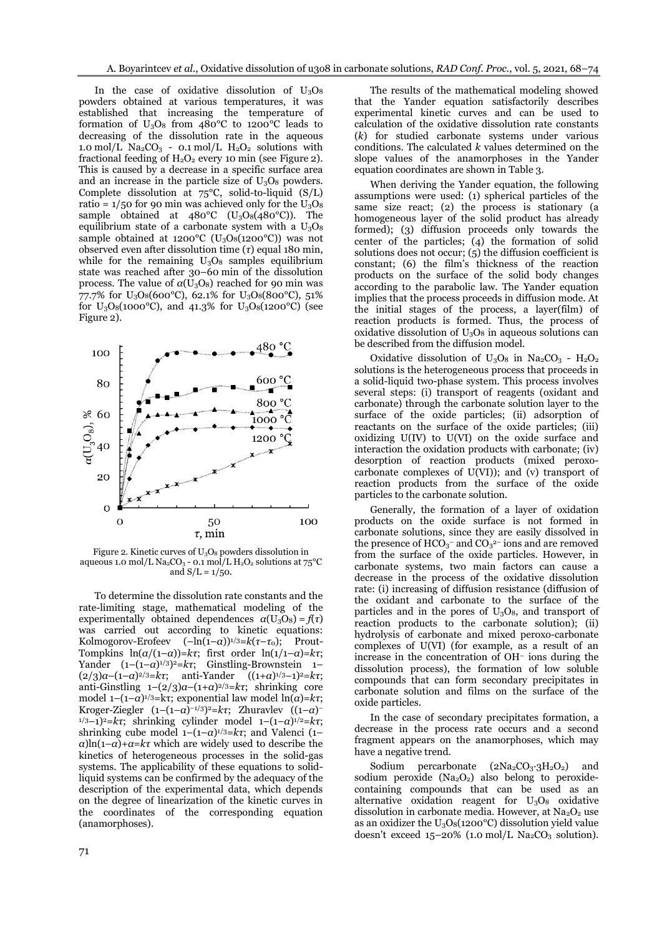In the case of oxidative dissolution of  $U_3O_8$ powders obtained at various temperatures, it was established that increasing the temperature of formation of  $U_3O_8$  from 480°C to 1200°C leads to decreasing of the dissolution rate in the aqueous 1.0 mol/L  $\text{Na}_2\text{CO}_3$  - 0.1 mol/L  $\text{H}_2\text{O}_2$  solutions with fractional feeding of  $H_2O_2$  every 10 min (see Figure 2). This is caused by a decrease in a specific surface area and an increase in the particle size of  $U_3O_8$  powders. Complete dissolution at 75°C, solid-to-liquid (S/L) ratio =  $1/50$  for 90 min was achieved only for the U<sub>3</sub>O<sub>8</sub> sample obtained at  $480^{\circ}$ C (U<sub>3</sub>O<sub>8</sub>( $480^{\circ}$ C)). The equilibrium state of a carbonate system with a  $U_3O_8$ sample obtained at 1200°C ( $U_3O_8(1200°C)$ ) was not observed even after dissolution time (*τ*) equal 180 min, while for the remaining  $U_3O_8$  samples equilibrium state was reached after 30–60 min of the dissolution process. The value of  $a(U_3O_8)$  reached for 90 min was 77.7% for  $U_3O_8(600^{\circ}C)$ , 62.1% for  $U_3O_8(800^{\circ}C)$ , 51% for  $U_3O_8(1000^{\circ}C)$ , and 41.3% for  $U_3O_8(1200^{\circ}C)$  (see Figure 2).



Figure 2. Kinetic curves of U<sub>3</sub>O<sub>8</sub> powders dissolution in aqueous 1.0 mol/L Na<sub>2</sub>CO<sub>3</sub> - 0.1 mol/L H<sub>2</sub>O<sub>2</sub> solutions at  $75^{\circ}$ C and  $S/L = 1/50$ .

To determine the dissolution rate constants and the rate-limiting stage, mathematical modeling of the experimentally obtained dependences  $\alpha$ (U<sub>3</sub>O<sub>8</sub>) =  $f(\tau)$ was carried out according to kinetic equations: Kolmogorov-Erofeev  $(-\ln(1-\alpha))^{1/3} = k(\tau-\tau_0);$  Prout-Tompkins  $ln(a/(1-a))=k\tau$ ; first order  $ln(1/1-a)=k\tau$ ; Yander (1–(1–*α*) 1/3) <sup>2</sup>=*kτ*; Ginstling-Brownstein 1– (2/3)*α*–(1–*α*) 2/3=*kτ*; anti*-*Yander ((1+*α*) 1/3–1)<sup>2</sup>=*kτ*; anti-Ginstling 1–(2/3)*α*–(1+*α*) 2/3=*kτ*; shrinking core model  $1-(1−α)^{1/3}$ =kτ; exponential law model  $ln(α)$ =k*τ*; Kroger-Ziegler (1–(1–*α*) –1/3) <sup>2</sup>=*kτ*; Zhuravlev ((1–*α*) – 1/3–1)<sup>2</sup>=*kτ*; shrinking cylinder model 1–(1–*α*) 1/2=*kτ*; shrinking cube model 1–(1–*α*) 1/3=*kτ*; and Valenci (1–  $\alpha$ )ln(1–*α*)+*α*=*kτ* which are widely used to describe the kinetics of heterogeneous processes in the solid-gas systems. The applicability of these equations to solidliquid systems can be confirmed by the adequacy of the description of the experimental data, which depends on the degree of linearization of the kinetic curves in the coordinates of the corresponding equation (anamorphoses).

The results of the mathematical modeling showed that the Yander equation satisfactorily describes experimental kinetic curves and can be used to calculation of the oxidative dissolution rate constants (*k*) for studied carbonate systems under various conditions. The calculated *k* values determined on the slope values of the anamorphoses in the Yander equation coordinates are shown in Table 3.

When deriving the Yander equation, the following assumptions were used: (1) spherical particles of the same size react; (2) the process is stationary (a homogeneous layer of the solid product has already formed); (3) diffusion proceeds only towards the center of the particles; (4) the formation of solid solutions does not occur; (5) the diffusion coefficient is constant; (6) the film's thickness of the reaction products on the surface of the solid body changes according to the parabolic law. The Yander equation implies that the process proceeds in diffusion mode. At the initial stages of the process, a layer(film) of reaction products is formed. Thus, the process of oxidative dissolution of  $U_3O_8$  in aqueous solutions can be described from the diffusion model.

Oxidative dissolution of  $U_3O_8$  in Na<sub>2</sub>CO<sub>3</sub> - H<sub>2</sub>O<sub>2</sub> solutions is the heterogeneous process that proceeds in a solid-liquid two-phase system. This process involves several steps: (i) transport of reagents (oxidant and carbonate) through the carbonate solution layer to the surface of the oxide particles; (ii) adsorption of reactants on the surface of the oxide particles; (iii) oxidizing U(IV) to U(VI) on the oxide surface and interaction the oxidation products with carbonate; (iv) desorption of reaction products (mixed peroxocarbonate complexes of  $U(VI)$ ; and  $(V)$  transport of reaction products from the surface of the oxide particles to the carbonate solution.

Generally, the formation of a layer of oxidation products on the oxide surface is not formed in carbonate solutions, since they are easily dissolved in the presence of  $HCO<sub>3</sub><sup>-</sup>$  and  $CO<sub>3</sub><sup>2-</sup>$  ions and are removed from the surface of the oxide particles. However, in carbonate systems, two main factors can cause a decrease in the process of the oxidative dissolution rate: (i) increasing of diffusion resistance (diffusion of the oxidant and carbonate to the surface of the particles and in the pores of  $U_3O_8$ , and transport of reaction products to the carbonate solution); (ii) hydrolysis of carbonate and mixed peroxo-carbonate complexes of U(VI) (for example, as a result of an increase in the concentration of OH– ions during the dissolution process), the formation of low soluble compounds that can form secondary precipitates in carbonate solution and films on the surface of the oxide particles.

In the case of secondary precipitates formation, a decrease in the process rate occurs and a second fragment appears on the anamorphoses, which may have a negative trend.

Sodium percarbonate  $(2Na_2CO_3.3H_2O_2)$  and sodium peroxide  $(Na<sub>2</sub>O<sub>2</sub>)$  also belong to peroxidecontaining compounds that can be used as an alternative oxidation reagent for  $U_3O_8$  oxidative dissolution in carbonate media. However, at  $Na<sub>2</sub>O<sub>2</sub>$  use as an oxidizer the  $U_3O_8(1200^{\circ}C)$  dissolution yield value doesn't exceed  $15-20\%$  (1.0 mol/L Na<sub>2</sub>CO<sub>3</sub> solution).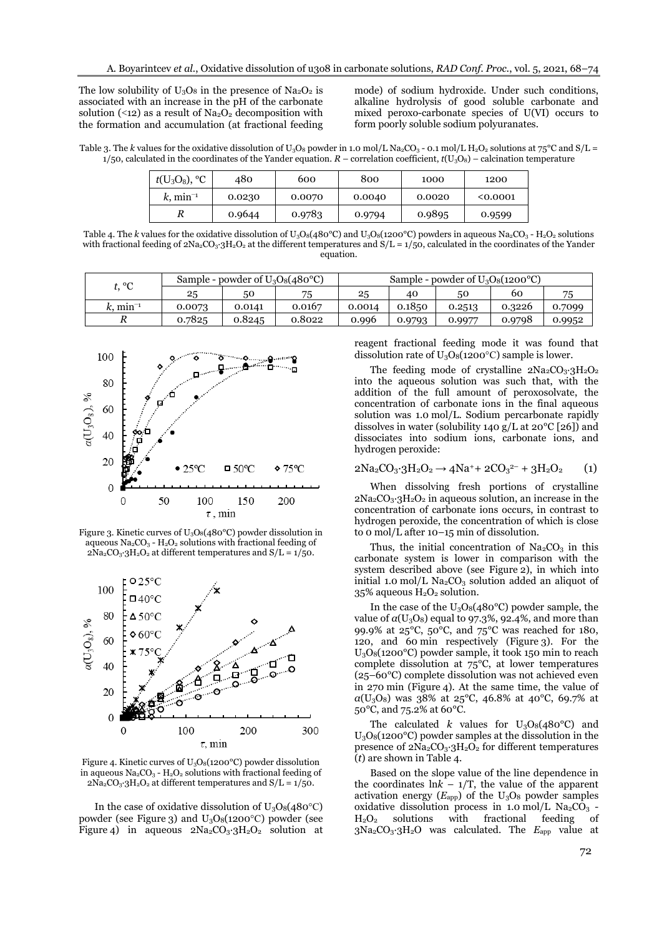The low solubility of  $U_3O_8$  in the presence of Na<sub>2</sub>O<sub>2</sub> is associated with an increase in the pH of the carbonate solution (<12) as a result of  $Na<sub>2</sub>O<sub>2</sub>$  decomposition with the formation and accumulation (at fractional feeding

mode) of sodium hydroxide. Under such conditions, alkaline hydrolysis of good soluble carbonate and mixed peroxo-carbonate species of U(VI) occurs to form poorly soluble sodium polyuranates.

Table 3. The *k* values for the oxidative dissolution of  $U_3O_8$  powder in 1.0 mol/L Na<sub>2</sub>CO<sub>3</sub> - 0.1 mol/L H<sub>2</sub>O<sub>2</sub> solutions at 75<sup>°</sup>C and S/L =  $1/50$ , calculated in the coordinates of the Yander equation.  $R$  – correlation coefficient,  $t$ (U<sub>3</sub>O<sub>8</sub>) – calcination temperature

| $t({\rm U}_3{\rm O}_8),$<br>$\rm ^{o}C$ | 480    | 600    | 800    | 1000   | 1200   |
|-----------------------------------------|--------|--------|--------|--------|--------|
| $k$ , min <sup>-1</sup>                 | 0.0230 | 0.0070 | 0.0040 | 0.0020 | 0.0001 |
| R                                       | 0.9644 | 0.9783 | 0.9794 | 0.9895 | 0.9599 |

Table 4. The *k* values for the oxidative dissolution of  $U_3O_8(480^{\circ}C)$  and  $U_3O_8(1200^{\circ}C)$  powders in aqueous Na<sub>2</sub>CO<sub>3</sub> - H<sub>2</sub>O<sub>2</sub> solutions with fractional feeding of  $2Na_2CO_3·3H_2O_2$  at the different temperatures and  $S/L = 1/50$ , calculated in the coordinates of the Yander equation.

| + የር<br>◡            | Sample - powder of $U_3O_8(480^{\circ}C)$ |        |        | Sample - powder of $U_3O_8(1200^{\circ}C)$ |        |        |        |        |
|----------------------|-------------------------------------------|--------|--------|--------------------------------------------|--------|--------|--------|--------|
|                      | 25                                        | 50     | 75     | 25                                         | 40     | 50     | 60     | 75     |
| k. min <sup>-1</sup> | 0.0073                                    | 0.0141 | 0.0167 | 0.0014                                     | 0.1850 | 0.2513 | 0.3226 | 0.7099 |
|                      | 0.7825                                    | 0.8245 | 0.8022 | 0.996                                      | 0.9793 | 0.9977 | 0.9798 | 0.9952 |



Figure 3. Kinetic curves of  $U_3O_8(480^{\circ}C)$  powder dissolution in aqueous Na<sub>2</sub>CO<sub>3</sub> - H<sub>2</sub>O<sub>2</sub> solutions with fractional feeding of  $2Na_2CO_3.3H_2O_2$  at different temperatures and  $S/L = 1/5O$ .



Figure 4. Kinetic curves of U3O8(1200°С) powder dissolution in aqueous Na<sub>2</sub>CO<sub>3</sub> - H<sub>2</sub>O<sub>2</sub> solutions with fractional feeding of  $2Na_2CO_3.3H_2O_2$  at different temperatures and  $S/L = 1/5O$ .

In the case of oxidative dissolution of  $U_3O_8(480^{\circ}C)$ powder (see Figure 3) and  $U_3O_8(1200^{\circ}C)$  powder (see Figure 4) in aqueous  $2Na_2CO_3.3H_2O_2$  solution at reagent fractional feeding mode it was found that dissolution rate of  $U_3O_8(1200^{\circ}C)$  sample is lower.

The feeding mode of crystalline  $2Na_2CO_3.3H_2O_2$ into the aqueous solution was such that, with the addition of the full amount of peroxosolvate, the concentration of carbonate ions in the final aqueous solution was 1.0 mol/L. Sodium percarbonate rapidly dissolves in water (solubility 140 g/L at  $20^{\circ}$ C [26]) and dissociates into sodium ions, carbonate ions, and hydrogen peroxide:

# $2Na_2CO_3.3H_2O_2 \rightarrow 4Na^+ + 2CO_3^{2-} + 3H_2O_2$  (1)

When dissolving fresh portions of crystalline  $2Na_2CO_3.3H_2O_2$  in aqueous solution, an increase in the concentration of carbonate ions occurs, in contrast to hydrogen peroxide, the concentration of which is close to 0 mol/L after 10–15 min of dissolution.

Thus, the initial concentration of  $Na<sub>2</sub>CO<sub>3</sub>$  in this carbonate system is lower in comparison with the system described above (see Figure 2), in which into initial 1.0 mol/L  $Na<sub>2</sub>CO<sub>3</sub>$  solution added an aliquot of 35% aqueous  $H_2O_2$  solution.

In the case of the  $U_3O_8(480^{\circ}C)$  powder sample, the value of  $\alpha$ (U<sub>3</sub>O<sub>8</sub>) equal to 97.3%, 92.4%, and more than 99.9% at  $25^{\circ}$ C,  $50^{\circ}$ C, and  $75^{\circ}$ C was reached for 180, 120, and 60 min respectively (Figure 3). For the U3O8(1200°C) powder sample, it took 150 min to reach complete dissolution at 75°C, at lower temperatures (25–60°C) complete dissolution was not achieved even in 270 min (Figure 4). At the same time, the value of *α*(U3O8) was 38% at 25°C, 46.8% at 40°C, 69.7% at 50°C, and 75.2% at 60°C.

The calculated *k* values for  $U_3O_8(480^{\circ}C)$  and  $U_3O_8(1200^{\circ}C)$  powder samples at the dissolution in the presence of  $2Na_2CO_3·3H_2O_2$  for different temperatures (*t*) are shown in Table 4.

Based on the slope value of the line dependence in the coordinates  $\ln k - 1/T$ , the value of the apparent activation energy  $(E_{app})$  of the  $U_3O_8$  powder samples oxidative dissolution process in 1.0 mol/L  $\text{Na}_2\text{CO}_3$  -H2O<sup>2</sup> solutions with fractional feeding of 3Na2CO3·3H2O was calculated. The *E*app value at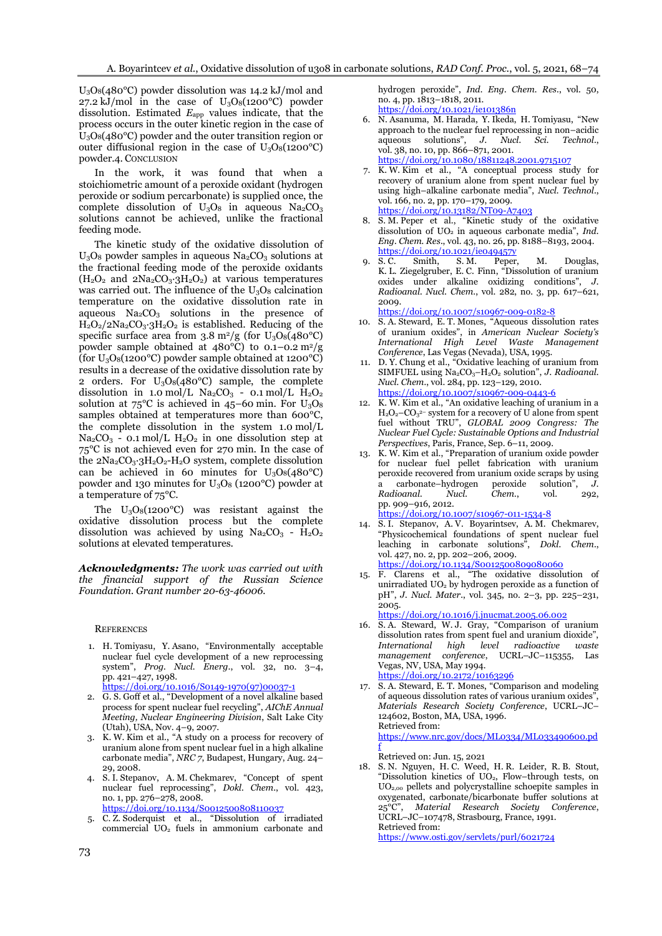U3O8(480°C) powder dissolution was 14.2 kJ/mol and 27.2 kJ/mol in the case of  $U_3O_8(1200^{\circ}C)$  powder dissolution. Estimated *E*app values indicate, that the process occurs in the outer kinetic region in the case of  $U_3O_8(480°C)$  powder and the outer transition region or outer diffusional region in the case of  $U_3O_8(1200^{\circ}C)$ powder.4. CONCLUSION

In the work, it was found that when a stoichiometric amount of a peroxide oxidant (hydrogen peroxide or sodium percarbonate) is supplied once, the complete dissolution of  $U_3O_8$  in aqueous Na<sub>2</sub>CO<sub>3</sub> solutions cannot be achieved, unlike the fractional feeding mode.

The kinetic study of the oxidative dissolution of  $U_3O_8$  powder samples in aqueous  $Na_2CO_3$  solutions at the fractional feeding mode of the peroxide oxidants (H2O<sup>2</sup> and 2Na2CO3∙3H2O2) at various temperatures was carried out. The influence of the  $U_3O_8$  calcination temperature on the oxidative dissolution rate in aqueous  $Na<sub>2</sub>CO<sub>3</sub>$  solutions in the presence of  $H_2O_2/2Na_2CO_3·3H_2O_2$  is established. Reducing of the specific surface area from  $3.8 \text{ m}^2/\text{g}$  (for  $U_3O_8(480^\circ \text{C})$ powder sample obtained at  $480^{\circ}$ C) to 0.1–0.2 m<sup>2</sup>/g (for  $U_3O_8(1200^{\circ}C)$  powder sample obtained at 1200 $^{\circ}C)$ results in a decrease of the oxidative dissolution rate by 2 orders. For  $U_3O_8(480^{\circ}C)$  sample, the complete dissolution in 1.0 mol/L  $\text{Na}_2\text{CO}_3$  - 0.1 mol/L  $\text{H}_2\text{O}_2$ solution at  $75^{\circ}$ C is achieved in  $45-60$  min. For  $U_3O_8$ samples obtained at temperatures more than 600°C, the complete dissolution in the system 1.0 mol/L Na<sub>2</sub>CO<sub>3</sub> - 0.1 mol/L  $H_2O_2$  in one dissolution step at 75°C is not achieved even for 270 min. In the case of the 2Na2CO3∙3H2O2-H2O system, complete dissolution can be achieved in 60 minutes for U3O8(480°C) powder and 130 minutes for  $U_3O_8$  (1200°C) powder at a temperature of 75°C.

The  $U_3O_8(1200^{\circ}C)$  was resistant against the oxidative dissolution process but the complete dissolution was achieved by using  $Na_2CO_3$  -  $H_2O_2$ solutions at elevated temperatures.

*Acknowledgments: The work was carried out with the financial support of the Russian Science Foundation. Grant number 20-63-46006.*

#### **REFERENCES**

- 1. H. [Tomiyasu,](https://www.sciencedirect.com/science/article/pii/S0149197097000371#!) Y. [Asano](https://www.sciencedirect.com/science/article/pii/S0149197097000371#!), "Environmentally acceptable nuclear fuel cycle development of a new reprocessing system", *Prog. Nucl. Energ*., vol. 32, no. 3–4, pp. 421–427, 1998. [https://doi.org/10.1016/S0149-1970\(97\)00037-1](https://doi.org/10.1016/S0149-1970(97)00037-1)
- 2. G. S. Goff et al., "Development of a novel alkaline based process for spent nuclear fuel recycling", *AIChE Annual Meeting, [Nuclear Engineering Division](https://www.aiche.org/conferences/aiche-annual-meeting/2006/proceeding/group/nuclear-engineering-division)*, Salt Lake City (Utah), USA, Nov. 4–9, 2007.
- 3. K. W. Kim et al., "A study on a process for recovery of uranium alone from spent nuclear fuel in a high alkaline carbonate media", *NRC 7*, Budapest, Hungary, Aug. 24– 29, 2008.
- 4. S. I. Stepanov, A. M. Chekmarev, "Concept of spent nuclear fuel reprocessing", *Dokl. Chem*., vol. 423, no. 1, pp. 276–278, 2008. <https://doi.org/10.1134/S0012500808110037>
- 5. C. Z. Soderquist et al., "Dissolution of irradiated commercial UO<sub>2</sub> fuels in ammonium carbonate and

hydrogen peroxide", *Ind. Eng. Chem. Res*., vol. 50, no. 4, pp. 1813–1818, 2011. <https://doi.org/10.1021/ie101386n>

- 6. N. Asanuma, M. Harada, Y. Ikeda, H. Tomiyasu, "New approach to the nuclear fuel reprocessing in non–acidic aqueous solutions", *J. Nucl. Sci. Technol*., vol. 38, no. 10, pp. 866–871, 2001. <https://doi.org/10.1080/18811248.2001.9715107>
- 7. K. W. Kim et al., "A conceptual process study for recovery of uranium alone from spent nuclear fuel by using high–alkaline carbonate media", *Nucl. Technol*., vol. 166, no. 2, pp. 170–179, 2009. <https://doi.org/10.13182/NT09-A7403>
- 8. S. M. Peper et al., "Kinetic study of the oxidative dissolution of UO<sub>2</sub> in aqueous carbonate media", *Ind. Eng. Chem. Res*., vol. 43, no. 26, pp. 8188–8193, 2004. <https://doi.org/10.1021/ie049457y><br>S. C. Smith, S. M. Peper
- Smith, S. M. Peper, M. Douglas, K. L. [Ziegelgruber, E](https://inis.iaea.org/search/search.aspx?orig_q=author:). C. [Finn](https://inis.iaea.org/search/search.aspx?orig_q=author:), "Dissolution of uranium oxides under alkaline oxidizing conditions", *J. Radioanal. Nucl. Chem*., vol. 282, no. 3, pp. 617–621, 2009.

<https://doi.org/10.1007/s10967-009-0182-8>

- 10. S. A. Steward, E. T. Mones, "Aqueous dissolution rates of uranium oxides", in *American Nuclear Society's International High Level Waste Management Conference*, Las Vegas (Nevada), USA, 1995.
- 11. D. Y. Chung et al., "Oxidative leaching of uranium from SIMFUEL using Na<sub>2</sub>CO<sub>3</sub>-H<sub>2</sub>O<sub>2</sub> solution", *J. Radioanal. Nucl. Chem.*, vol. 284, pp. 123–129, 2010. <https://doi.org/10.1007/s10967-009-0443-6>
- 12. K. W. Kim et al., "An oxidative leaching of uranium in a  $H_2O_2$ –CO<sub>3</sub><sup>2–</sup> system for a recovery of U alone from spent fuel without TRU", *GLOBAL 2009 Congress: The Nuclear Fuel Cycle: Sustainable Options and Industrial Perspectives*, Paris, France, Sep. 6–11, 2009.
- 13. K. W. Kim et al., "Preparation of uranium oxide powder for nuclear fuel pellet fabrication with uranium peroxide recovered from uranium oxide scraps by using a carbonate–hydrogen peroxide solution", *J.*   $Radioanal.$ pp. 909–916, 2012.

<https://doi.org/10.1007/s10967-011-1534-8>

- 14. S. I. Stepanov, A. V. Boyarintsev, A. M. Chekmarev, "Physicochemical foundations of spent nuclear fuel leaching in carbonate solutions", *Dokl. Chem*., vol. 427, no. 2, pp. 202–206, 2009. <https://doi.org/10.1134/S0012500809080060>
- 15. F. Clarens et al., "The oxidative dissolution of unirradiated  $\rm UO_2$  by hydrogen peroxide as a function of pH", *J. Nucl. Mater*., vol. 345, no. 2–3, pp. 225–231, 2005.

<https://doi.org/10.1016/j.jnucmat.2005.06.002>

- 16. S. A. Steward, W. J. Gray, "Comparison of uranium dissolution rates from spent fuel and uranium dioxide", *International high level radioactive waste management conference*, UCRL–JC–115355, Las Vegas, NV, USA, May 1994. <https://doi.org/10.2172/10163296>
- 17. S. A. Steward, E. T. Mones, "Comparison and modeling of aqueous dissolution rates of various uranium oxides", *Materials Research Society Conference*, UCRL–JC– 124602, Boston, MA, USA, 1996. Retrieved from:

[https://www.nrc.gov/docs/ML0334/ML033490600.pd](https://www.nrc.gov/docs/ML0334/ML033490600.pdf) [f](https://www.nrc.gov/docs/ML0334/ML033490600.pdf)

Retrieved on: Jun. 15, 2021

18. S. N. Nguyen, H. C. Weed, H. R. Leider, R. B. Stout, "Dissolution kinetics of UO2, Flow–through tests, on UO2,00 pellets and polycrystalline schoepite samples in oxygenated, carbonate/bicarbonate buffer solutions at 25°C", *Material Research Society Conference*, UCRL–JC–107478, Strasbourg, France, 1991. Retrieved from:

<https://www.osti.gov/servlets/purl/6021724>